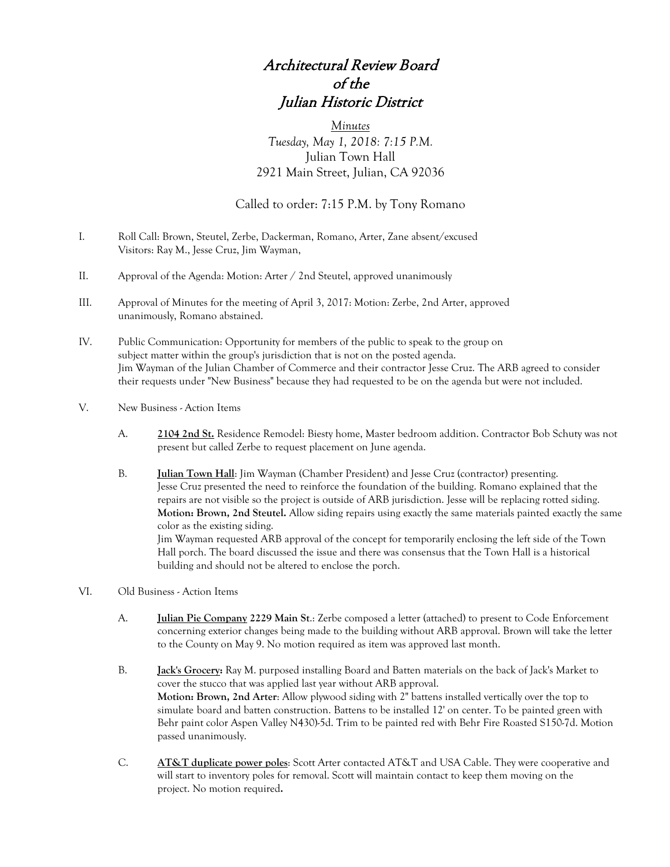## Architectural Review Board of the Julian Historic District

*Minutes Tuesday, May 1, 2018: 7:15 P.M.* Julian Town Hall 2921 Main Street, Julian, CA 92036

## Called to order: 7:15 P.M. by Tony Romano

I. Roll Call: Brown, Steutel, Zerbe, Dackerman, Romano, Arter, Zane absent/excused Visitors: Ray M., Jesse Cruz, Jim Wayman,

building and should not be altered to enclose the porch.

- II. Approval of the Agenda: Motion: Arter / 2nd Steutel, approved unanimously
- III. Approval of Minutes for the meeting of April 3, 2017: Motion: Zerbe, 2nd Arter, approved unanimously, Romano abstained.
- IV. Public Communication: Opportunity for members of the public to speak to the group on subject matter within the group's jurisdiction that is not on the posted agenda. Jim Wayman of the Julian Chamber of Commerce and their contractor Jesse Cruz. The ARB agreed to consider their requests under "New Business" because they had requested to be on the agenda but were not included.
- V. New Business Action Items
	- A. **2104 2nd St.** Residence Remodel: Biesty home, Master bedroom addition. Contractor Bob Schuty was not present but called Zerbe to request placement on June agenda.
	- B. **Julian Town Hall**: Jim Wayman (Chamber President) and Jesse Cruz (contractor) presenting. Jesse Cruz presented the need to reinforce the foundation of the building. Romano explained that the repairs are not visible so the project is outside of ARB jurisdiction. Jesse will be replacing rotted siding. **Motion: Brown, 2nd Steutel.** Allow siding repairs using exactly the same materials painted exactly the same color as the existing siding. Jim Wayman requested ARB approval of the concept for temporarily enclosing the left side of the Town Hall porch. The board discussed the issue and there was consensus that the Town Hall is a historical
- VI. Old Business Action Items
	- A. **Julian Pie Company 2229 Main St**.: Zerbe composed a letter (attached) to present to Code Enforcement concerning exterior changes being made to the building without ARB approval. Brown will take the letter to the County on May 9. No motion required as item was approved last month.
	- B. **Jack's Grocery:** Ray M. purposed installing Board and Batten materials on the back of Jack's Market to cover the stucco that was applied last year without ARB approval. **Motion: Brown, 2nd Arter**: Allow plywood siding with 2" battens installed vertically over the top to simulate board and batten construction. Battens to be installed 12' on center. To be painted green with Behr paint color Aspen Valley N430)-5d. Trim to be painted red with Behr Fire Roasted S150-7d. Motion passed unanimously.
	- C. **AT&T duplicate power poles**: Scott Arter contacted AT&T and USA Cable. They were cooperative and will start to inventory poles for removal. Scott will maintain contact to keep them moving on the project. No motion required**.**